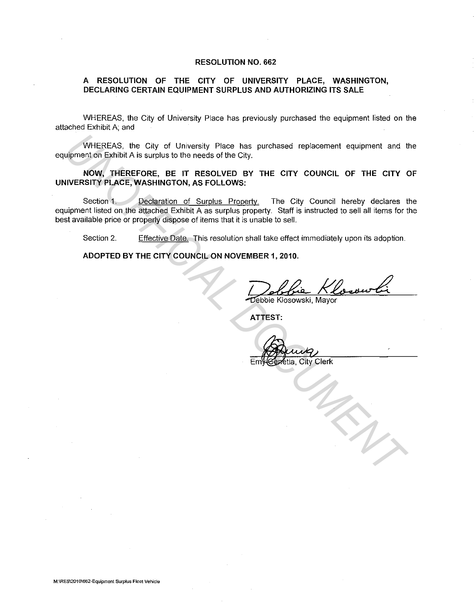## **RESOLUTION NO. 662**

## **A RESOLUTION OF THE CITY OF UNIVERSITY PLACE, WASHINGTON, DECLARING CERTAIN EQUIPMENT SURPLUS AND AUTHORIZING ITS SALE**

WHEREAS, the City of University Place has previously purchased the equipment listed on the attached Exhibit A; and

WHEREAS, the City of University Place has purchased replacement equipment and the equipment on Exhibit A is surplus to the needs of the City.

**NOW, THEREFORE, BE IT RESOLVED BY THE CITY COUNCIL OF THE CITY OF UNIVERSITY PLACE, WASHINGTON, AS FOLLOWS:** 

Section 1. Declaration of Surplus Property. The City Council hereby declares the equipment listed on the attached Exhibit A as surplus property. Staff is instructed to sell all items for the best available price or properly dispose of items that it is unable to sell. WHEREAS, the City of University Place has purchased replacement equipment and tupment on Exhibit A is surplus to the needs of the City.<br> **UNOFFICIAL DOCUMENT THE CITY COUNCIL OF THE CITY COUNCIL INTERFORM, THE CITY COUNCIL** 

Section 2. Effective Date. This resolution shall take effect immediately upon its adoption.

**ADOPTED BY THE CITY COUNCIL ON NOVEMBER 1, 2010.** 

**ATTEST:** 

etia, City Clerk